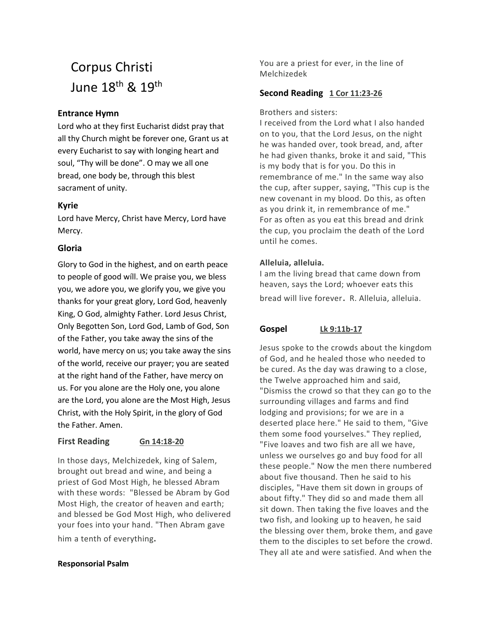# Corpus Christi June 18<sup>th</sup> & 19<sup>th</sup>

# **Entrance Hymn**

Lord who at they first Eucharist didst pray that all thy Church might be forever one, Grant us at every Eucharist to say with longing heart and soul, "Thy will be done". O may we all one bread, one body be, through this blest sacrament of unity.

# **Kyrie**

Lord have Mercy, Christ have Mercy, Lord have Mercy.

# **Gloria**

Glory to God in the highest, and on earth peace to people of good wíll. We praise you, we bless you, we adore you, we glorify you, we give you thanks for your great glory, Lord God, heavenly King, O God, almighty Father. Lord Jesus Christ, Only Begotten Son, Lord God, Lamb of God, Son of the Father, you take away the sins of the world, have mercy on us; you take away the sins of the world, receive our prayer; you are seated at the right hand of the Father, have mercy on us. For you alone are the Holy one, you alone are the Lord, you alone are the Most High, Jesus Christ, with the Holy Spirit, in the glory of God the Father. Amen.

# **First [Reading](https://bible.usccb.org/bible/acts/13?14)Gn [14:18-20](https://bible.usccb.org/bible/genesis/14?18)**

In those days, Melchizedek, king of Salem, brought out bread and wine, and being a priest of God Most High, he blessed Abram with these words: "Blessed be Abram by God Most High, the creator of heaven and earth; and blessed be God Most High, who delivered your foes into your hand. "Then Abram gave him a tenth of everything.

## **Responsorial Psalm**

You are a priest for ever, in the line of Melchizedek

## **Second Reading 1 Cor [11:23-26](https://bible.usccb.org/bible/1corinthians/11?23)**

## Brothers and sisters:

I received from the Lord what I also handed on to you, that the Lord Jesus, on the night he was handed over, took bread, and, after he had given thanks, broke it and said, "This is my body that is for you. Do this in remembrance of me." In the same way also the cup, after supper, saying, "This cup is the new covenant in my blood. Do this, as often as you drink it, in remembrance of me." For as often as you eat this bread and drink the cup, you proclaim the death of the Lord until he comes.

## **Alleluia, alleluia.**

I am the living bread that came down from heaven, says the Lord; whoever eats this bread will live forever. R. Alleluia, alleluia.

# **Gospel Lk [9:11b-17](https://bible.usccb.org/bible/luke/9?11)**

Jesus spoke to the crowds about the kingdom of God, and he healed those who needed to be cured. As the day was drawing to a close, the Twelve approached him and said, "Dismiss the crowd so that they can go to the surrounding villages and farms and find lodging and provisions; for we are in a deserted place here." He said to them, "Give them some food yourselves." They replied, "Five loaves and two fish are all we have, unless we ourselves go and buy food for all these people." Now the men there numbered about five thousand. Then he said to his disciples, "Have them sit down in groups of about fifty." They did so and made them all sit down. Then taking the five loaves and the two fish, and looking up to heaven, he said the blessing over them, broke them, and gave them to the disciples to set before the crowd. They all ate and were satisfied. And when the